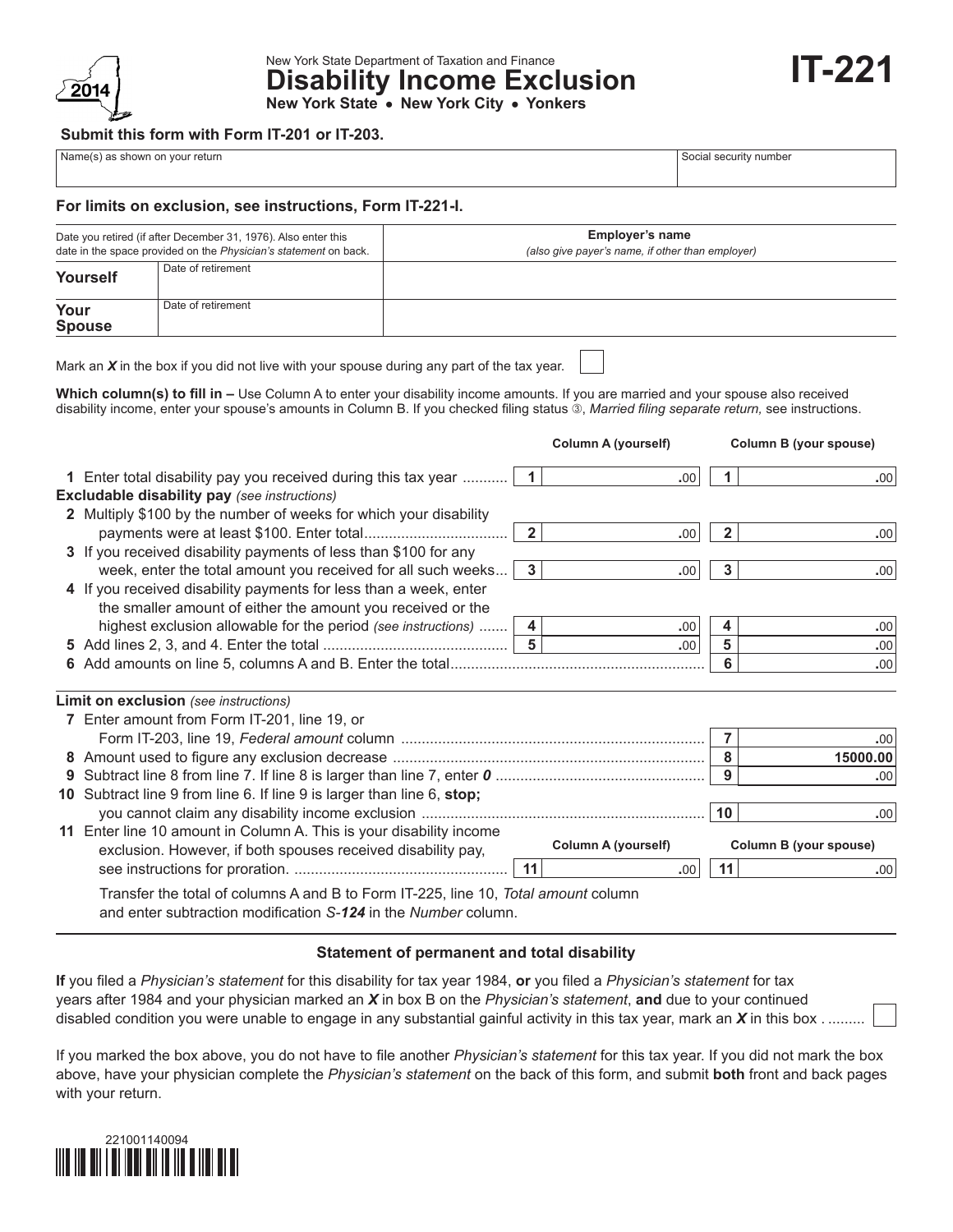

New York State Department of Taxation and Finance **Disability Income Exclusion New York State • New York City • Yonkers**

## **Submit this form with Form IT-201 or IT-203.**

| Name(s) as shown on your return |  |  |  |  |  |  |
|---------------------------------|--|--|--|--|--|--|
|---------------------------------|--|--|--|--|--|--|

Social security number

**IT-221**

#### **For limits on exclusion, see instructions, Form IT-221-I.**

| Date you retired (if after December 31, 1976). Also enter this<br>date in the space provided on the Physician's statement on back. |                    | <b>Employer's name</b><br>(also give payer's name, if other than employer) |  |  |  |
|------------------------------------------------------------------------------------------------------------------------------------|--------------------|----------------------------------------------------------------------------|--|--|--|
| Yourself                                                                                                                           | Date of retirement |                                                                            |  |  |  |
| Your<br><b>Spouse</b>                                                                                                              | Date of retirement |                                                                            |  |  |  |

Mark an *X* in the box if you did not live with your spouse during any part of the tax year.

Which column(s) to fill in - Use Column A to enter your disability income amounts. If you are married and your spouse also received disability income, enter your spouse's amounts in Column B. If you checked filing status 3, Married filing separate return, see instructions.

|                                                                                                                                                      |                         | Column A (yourself)        |                | Column B (your spouse)        |
|------------------------------------------------------------------------------------------------------------------------------------------------------|-------------------------|----------------------------|----------------|-------------------------------|
| 1 Enter total disability pay you received during this tax year<br><b>Excludable disability pay (see instructions)</b>                                | $\overline{1}$          | .00                        |                | .00 <sub>1</sub>              |
| 2 Multiply \$100 by the number of weeks for which your disability                                                                                    |                         |                            |                |                               |
|                                                                                                                                                      | $\overline{2}$          | .00                        | $\overline{2}$ | .00                           |
| 3 If you received disability payments of less than \$100 for any                                                                                     |                         |                            |                |                               |
| week, enter the total amount you received for all such weeks                                                                                         | $\overline{\mathbf{3}}$ | .00                        | 3              | .00                           |
| 4 If you received disability payments for less than a week, enter                                                                                    |                         |                            |                |                               |
| the smaller amount of either the amount you received or the                                                                                          |                         |                            |                |                               |
| highest exclusion allowable for the period (see instructions)                                                                                        | 4                       | .00                        | 4              | .00                           |
|                                                                                                                                                      | $5\phantom{a}$          | .00                        | 5              | .00                           |
|                                                                                                                                                      |                         |                            | 6              | .00                           |
|                                                                                                                                                      |                         |                            |                |                               |
| Limit on exclusion (see instructions)                                                                                                                |                         |                            |                |                               |
| 7 Enter amount from Form IT-201, line 19, or                                                                                                         |                         |                            |                |                               |
|                                                                                                                                                      |                         |                            | $\overline{7}$ | .00                           |
|                                                                                                                                                      |                         |                            | 8              | 15000.00                      |
|                                                                                                                                                      |                         |                            | 9              | .00                           |
| 10 Subtract line 9 from line 6. If line 9 is larger than line 6, stop;                                                                               |                         |                            |                |                               |
|                                                                                                                                                      |                         |                            | 10             | .00                           |
| 11 Enter line 10 amount in Column A. This is your disability income<br>exclusion. However, if both spouses received disability pay,                  |                         | <b>Column A (yourself)</b> |                | <b>Column B (your spouse)</b> |
|                                                                                                                                                      | 11                      | .00                        | 11             | .00 <sub>1</sub>              |
| Transfer the total of columns A and B to Form IT-225, line 10, Total amount column<br>and enter subtraction modification S-124 in the Number column. |                         |                            |                |                               |

#### **Statement of permanent and total disability**

**If** you filed a *Physician's statement* for this disability for tax year 1984, **or** you filed a *Physician's statement* for tax years after 1984 and your physician marked an *X* in box B on the *Physician's statement*, **and** due to your continued disabled condition you were unable to engage in any substantial gainful activity in this tax year, mark an *X* in this box . .........

If you marked the box above, you do not have to file another *Physician's statement* for this tax year. If you did not mark the box above, have your physician complete the *Physician's statement* on the back of this form, and submit **both** front and back pages with your return.